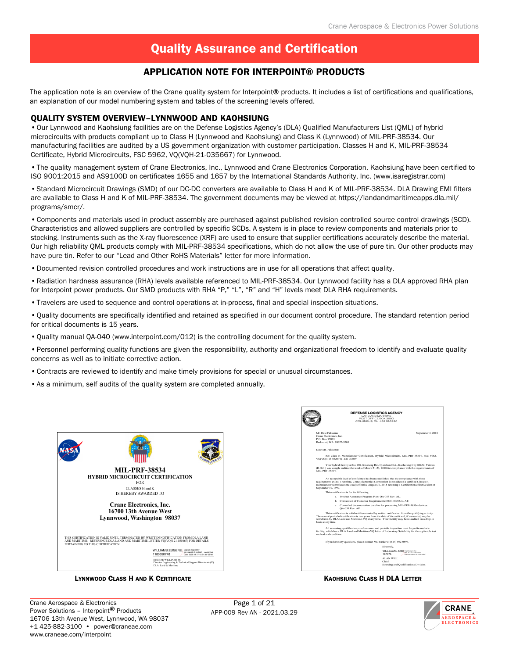#### Application Note for Interpoint® Products

The application note is an overview of the Crane quality system for Interpoint® products. It includes a list of certifications and qualifications, an explanation of our model numbering system and tables of the screening levels offered.

#### QUALITY SYSTEM OVERVIEW–LYNNWOOD AND KAOHSIUNG

•Our Lynnwood and Kaohsiung facilities are on the Defense Logistics Agency's (DLA) Qualified Manufacturers List (QML) of hybrid microcircuits with products compliant up to Class H (Lynnwood and Kaohsiung) and Class K (Lynnwood) of MIL-PRF-38534. Our manufacturing facilities are audited by a US government organization with customer participation. Classes H and K, MIL-PRF-38534 Certificate, Hybrid Microcircuits, FSC 5962, VQ(VQH-21-035667) for Lynnwood.

•The quality management system of Crane Electronics, Inc., Lynnwood and Crane Electronics Corporation, Kaohsiung have been certified to ISO 9001:2015 and AS9100D on certificates 1655 and 1657 by the International Standards Authority, Inc. (www.isaregistrar.com)

•Standard Microcircuit Drawings (SMD) of our DC-DC converters are available to Class H and K of MIL-PRF-38534. DLA Drawing EMI filters are available to Class H and K of MIL-PRF-38534. The government documents may be viewed at https://landandmaritimeapps.dla.mil/ programs/smcr/.

•Components and materials used in product assembly are purchased against published revision controlled source control drawings (SCD). Characteristics and allowed suppliers are controlled by specific SCDs. A system is in place to review components and materials prior to stocking. Instruments such as the X-ray fluorescence (XRF) are used to ensure that supplier certifications accurately describe the material. Our high reliability QML products comply with MIL-PRF-38534 specifications, which do not allow the use of pure tin. Our other products may have pure tin. Refer to our "Lead and Other RoHS Materials" letter for more information.

•Documented revision controlled procedures and work instructions are in use for all operations that affect quality.

•Radiation hardness assurance (RHA) levels available referenced to MIL-PRF-38534. Our Lynnwood facility has a DLA approved RHA plan for Interpoint power products. Our SMD products with RHA "P," "L", "R" and "H" levels meet DLA RHA requirements.

•Travelers are used to sequence and control operations at in-process, final and special inspection situations.

•Quality documents are specifically identified and retained as specified in our document control procedure. The standard retention period for critical documents is 15 years.

- •Quality manual QA-040 (www.interpoint.com/012) is the controlling document for the quality system.
- •Personnel performing quality functions are given the responsibility, authority and organizational freedom to identify and evaluate quality concerns as well as to initiate corrective action.
- •Contracts are reviewed to identify and make timely provisions for special or unusual circumstances.
- •As a minimum, self audits of the quality system are completed annually.



Lynnwood Class H and K Certificate Kaohsing Class H DLA Letter



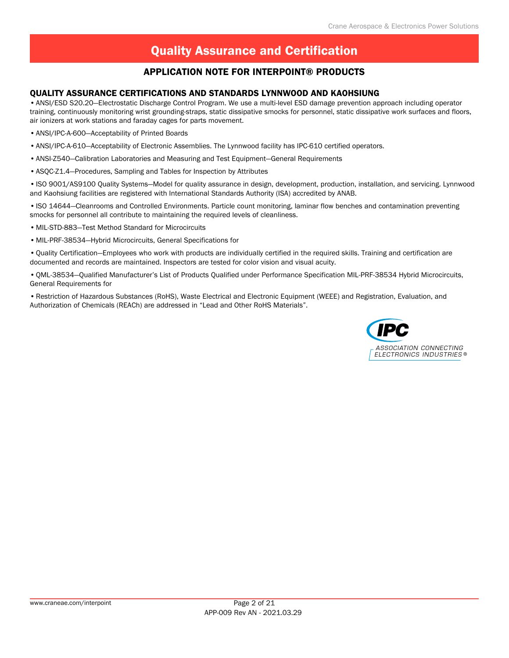#### Application Note for Interpoint® Products

#### QUALITY ASSURANCE CERTIFICATIONS AND STANDARDS LYNNWOOD AND KAOHSIUNG

•ANSI/ESD S20.20—Electrostatic Discharge Control Program. We use a multi-level ESD damage prevention approach including operator training, continuously monitoring wrist grounding-straps, static dissipative smocks for personnel, static dissipative work surfaces and floors, air ionizers at work stations and faraday cages for parts movement.

- •ANSI/IPC-A-600—Acceptability of Printed Boards
- •ANSI/IPC-A-610—Acceptability of Electronic Assemblies. The Lynnwood facility has IPC-610 certified operators.
- •ANSI-Z540—Calibration Laboratories and Measuring and Test Equipment—General Requirements
- •ASQC-Z1.4—Procedures, Sampling and Tables for Inspection by Attributes

•ISO 9001/AS9100 Quality Systems—Model for quality assurance in design, development, production, installation, and servicing. Lynnwood and Kaohsiung facilities are registered with International Standards Authority (ISA) accredited by ANAB.

•ISO 14644—Cleanrooms and Controlled Environments. Particle count monitoring, laminar flow benches and contamination preventing smocks for personnel all contribute to maintaining the required levels of cleanliness.

•MIL-STD-883—Test Method Standard for Microcircuits

•MIL-PRF-38534—Hybrid Microcircuits, General Specifications for

•Quality Certification—Employees who work with products are individually certified in the required skills. Training and certification are documented and records are maintained. Inspectors are tested for color vision and visual acuity.

•QML-38534—Qualified Manufacturer's List of Products Qualified under Performance Specification MIL-PRF-38534 Hybrid Microcircuits, General Requirements for

•Restriction of Hazardous Substances (RoHS), Waste Electrical and Electronic Equipment (WEEE) and Registration, Evaluation, and Authorization of Chemicals (REACh) are addressed in "Lead and Other RoHS Materials".

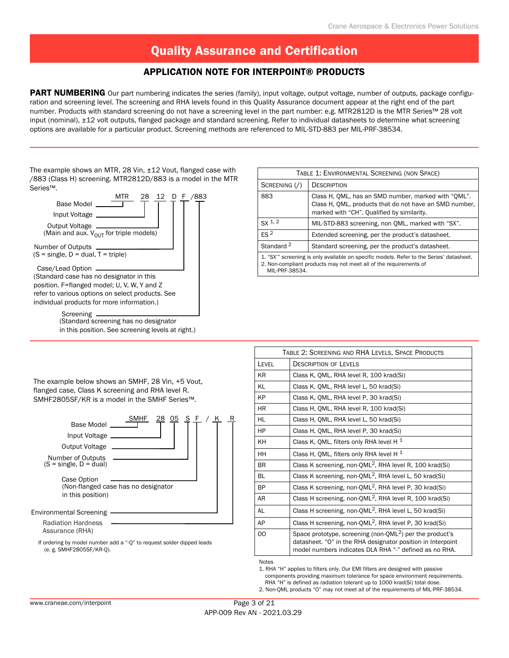#### Application Note for Interpoint® Products

PART NUMBERING Our part numbering indicates the series (family), input voltage, output voltage, number of outputs, package configuration and screening level. The screening and RHA levels found in this Quality Assurance document appear at the right end of the part number. Products with standard screening do not have a screening level in the part number: e.g. MTR2812D is the MTR Series™ 28 volt input (nominal), ±12 volt outputs, flanged package and standard screening. Refer to individual datasheets to determine what screening options are available for a particular product. Screening methods are referenced to MIL-STD-883 per MIL-PRF-38534.

The example shows an MTR, 28 Vin, ±12 Vout, flanged case with /883 (Class H) screening. MTR2812D/883 is a model in the MTR Series™.



| TABLE 1: ENVIRONMENTAL SCREENING (NON SPACE) |                                                                                                                                                               |  |  |  |  |  |  |  |  |
|----------------------------------------------|---------------------------------------------------------------------------------------------------------------------------------------------------------------|--|--|--|--|--|--|--|--|
| SCREENING ( / )                              | DESCRIPTION                                                                                                                                                   |  |  |  |  |  |  |  |  |
| 883                                          | Class H, OML, has an SMD number, marked with "OML".<br>Class H, OML, products that do not have an SMD number,<br>marked with "CH". Qualified by similarity.   |  |  |  |  |  |  |  |  |
| SX <sup>1,2</sup>                            | MIL-STD-883 screening, non OML, marked with "SX".                                                                                                             |  |  |  |  |  |  |  |  |
| FS <sup>2</sup>                              | Extended screening, per the product's datasheet.                                                                                                              |  |  |  |  |  |  |  |  |
| Standard <sup>2</sup>                        | Standard screening, per the product's datasheet.                                                                                                              |  |  |  |  |  |  |  |  |
| MIL-PRF-38534.                               | 1. "SX"" screening is only available on specific models. Refer to the Series' datasheet.<br>2. Non-compliant products may not meet all of the requirements of |  |  |  |  |  |  |  |  |

The example below shows an SMHF, 28 Vin, +5 Vout, flanged case, Class K screening and RHA level R. SMHF2805SF/KR is a model in the SMHF Series™.



|           | TABLE 2: SCREENING AND RHA LEVELS, SPACE PRODUCTS                                                                                                                                     |
|-----------|---------------------------------------------------------------------------------------------------------------------------------------------------------------------------------------|
| LEVEL     | <b>DESCRIPTION OF LEVELS</b>                                                                                                                                                          |
| <b>KR</b> | Class K, OML, RHA level R, 100 krad(Si)                                                                                                                                               |
| KL        | Class K, OML, RHA level L, 50 krad(Si)                                                                                                                                                |
| KP        | Class K, OML, RHA level P, 30 krad(Si)                                                                                                                                                |
| <b>HR</b> | Class H, OML, RHA level R, 100 krad(Si)                                                                                                                                               |
| HL        | Class H, QML, RHA level L, 50 krad(Si)                                                                                                                                                |
| HP        | Class H, QML, RHA level P, 30 krad(Si)                                                                                                                                                |
| KH        | Class K, QML, filters only RHA level H $1$                                                                                                                                            |
| <b>HH</b> | Class H, QML, filters only RHA level H $1$                                                                                                                                            |
| <b>BR</b> | Class K screening, non-QML <sup>2</sup> , RHA level R, 100 krad(Si)                                                                                                                   |
| <b>BL</b> | Class K screening, non-QML <sup>2</sup> , RHA level L, 50 krad(Si)                                                                                                                    |
| <b>BP</b> | Class K screening, non-QML <sup>2</sup> , RHA level P, 30 krad(Si)                                                                                                                    |
| AR        | Class H screening, non-QML <sup>2</sup> , RHA level R, 100 krad(Si)                                                                                                                   |
| <b>AL</b> | Class H screening, non-QML <sup>2</sup> , RHA level L, 50 krad(Si)                                                                                                                    |
| AP        | Class H screening, non-QML <sup>2</sup> , RHA level P, 30 krad(Si)                                                                                                                    |
| OO        | Space prototype, screening (non-QML $^2$ ) per the product's<br>datasheet. "O" in the RHA designator position in Interpoint<br>model numbers indicates DLA RHA "-" defined as no RHA. |
| Notoc     |                                                                                                                                                                                       |

Notes

1. RHA "H" applies to filters only. Our EMI filters are designed with passive components providing maximum tolerance for space environment requirements. RHA "H" is defined as radiation tolerant up to 1000 krad(Si) total dose.

2. Non-QML products "O" may not meet all of the requirements of MIL-PRF-38534.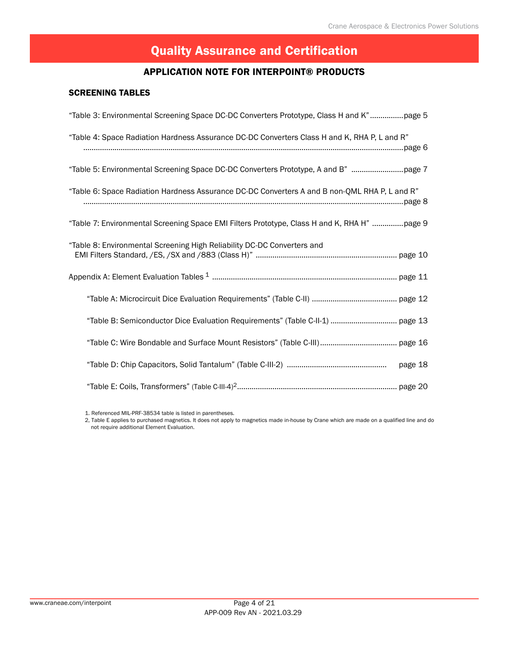#### Application Note for Interpoint® Products

#### SCREENING TABLES

| "Table 3: Environmental Screening Space DC-DC Converters Prototype, Class H and K"page 5      |
|-----------------------------------------------------------------------------------------------|
| "Table 4: Space Radiation Hardness Assurance DC-DC Converters Class H and K, RHA P, L and R"  |
| "Table 5: Environmental Screening Space DC-DC Converters Prototype, A and B" page 7           |
| "Table 6: Space Radiation Hardness Assurance DC-DC Converters A and B non-QML RHA P, L and R" |
| "Table 7: Environmental Screening Space EMI Filters Prototype, Class H and K, RHA H" page 9   |
| "Table 8: Environmental Screening High Reliability DC-DC Converters and                       |
|                                                                                               |
|                                                                                               |
|                                                                                               |
|                                                                                               |
| page 18                                                                                       |
|                                                                                               |

1. Referenced MIL-PRF-38534 table is listed in parentheses.

2, Table E applies to purchased magnetics. It does not apply to magnetics made in-house by Crane which are made on a qualified line and do not require additional Element Evaluation.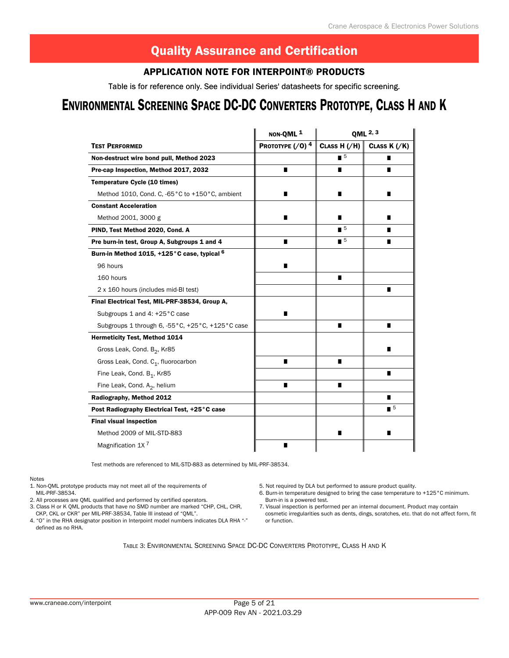#### Application Note for Interpoint® Products

Table is for reference only. See individual Series' datasheets for specific screening.

# ENVIRONMENTAL SCREENING SPACE DC-DC CONVERTERS PROTOTYPE, CLASS H AND K

|                                                        | NON-QML <sup>1</sup>           |                             | QML 2, 3                    |
|--------------------------------------------------------|--------------------------------|-----------------------------|-----------------------------|
| <b>TEST PERFORMED</b>                                  | PROTOTYPE $($ /0) <sup>4</sup> | CLASS $H$ ( $/H$ )          | CLASS $K$ $//K)$            |
| Non-destruct wire bond pull, Method 2023               |                                | $\blacksquare$              |                             |
| Pre-cap Inspection, Method 2017, 2032                  | п                              | П                           | П                           |
| <b>Temperature Cycle (10 times)</b>                    |                                |                             |                             |
| Method 1010, Cond. C, -65°C to +150°C, ambient         | п                              | П                           | ∎                           |
| <b>Constant Acceleration</b>                           |                                |                             |                             |
| Method 2001, 3000 g                                    | п                              |                             | ■                           |
| PIND, Test Method 2020, Cond. A                        |                                | $\blacksquare$ <sup>5</sup> |                             |
| Pre burn-in test, Group A, Subgroups 1 and 4           | п                              | $\blacksquare$ <sup>5</sup> | п                           |
| Burn-in Method 1015, +125°C case, typical <sup>6</sup> |                                |                             |                             |
| 96 hours                                               | ■                              |                             |                             |
| 160 hours                                              |                                | ■                           |                             |
| 2 x 160 hours (includes mid-BI test)                   |                                |                             | п                           |
| Final Electrical Test, MIL-PRF-38534, Group A,         |                                |                             |                             |
| Subgroups 1 and 4: +25 °C case                         | п                              |                             |                             |
| Subgroups 1 through 6, -55°C, +25°C, +125°C case       |                                | п                           | ■                           |
| Hermeticity Test, Method 1014                          |                                |                             |                             |
| Gross Leak, Cond. B <sub>2</sub> , Kr85                |                                |                             |                             |
| Gross Leak, Cond. C <sub>1</sub> , fluorocarbon        | ■                              | ■                           |                             |
| Fine Leak, Cond. B <sub>1</sub> , Kr85                 |                                |                             | ■                           |
| Fine Leak, Cond. $A_2$ , helium                        | ■                              | П                           |                             |
| Radiography, Method 2012                               |                                |                             | п                           |
| Post Radiography Electrical Test, +25°C case           |                                |                             | $\blacksquare$ <sup>5</sup> |
| <b>Final visual inspection</b>                         |                                |                             |                             |
| Method 2009 of MIL-STD-883                             |                                | ■                           | ■                           |
| Magnification 1X <sup>7</sup>                          | п                              |                             |                             |

Test methods are referenced to MIL-STD-883 as determined by MIL-PRF-38534.

Notes

- 1. Non-QML prototype products may not meet all of the requirements of
- MIL-PRF-38534.
- 2. All processes are QML qualified and performed by certified operators.
- 3. Class H or K QML products that have no SMD number are marked "CHP, CHL, CHR, CKP, CKL or CKR" per MIL-PRF-38534, Table III instead of "QML".
- 4. "O" in the RHA designator position in Interpoint model numbers indicates DLA RHA "-" defined as no RHA.
- 5. Not required by DLA but performed to assure product quality.
- 6. Burn-in temperature designed to bring the case temperature to +125°C minimum. Burn-in is a powered test.
- 7. Visual inspection is performed per an internal document. Product may contain cosmetic irregularities such as dents, dings, scratches, etc. that do not affect form, fit or function.

Table 3: Environmental Screening Space DC-DC Converters Prototype, Class H and K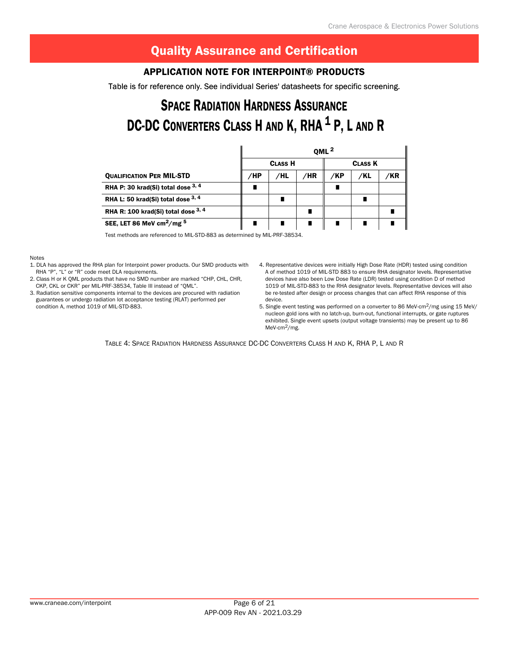#### Application Note for Interpoint® Products

Table is for reference only. See individual Series' datasheets for specific screening.

# **SPACE RADIATION HARDNESS ASSURANCE** DC-DC CONVERTERS CLASS H AND K, RHA <sup>1</sup> P, L AND R

|                                         | QML <sup>2</sup> |                |     |     |                |    |  |  |  |  |  |
|-----------------------------------------|------------------|----------------|-----|-----|----------------|----|--|--|--|--|--|
|                                         |                  | <b>CLASS H</b> |     |     | <b>CLASS K</b> |    |  |  |  |  |  |
| <b>QUALIFICATION PER MIL-STD</b>        | /HP              | /HL            | /HR | /KP | /KL            | ΆR |  |  |  |  |  |
| RHA P: 30 krad(Si) total dose $3, 4$    |                  |                |     |     |                |    |  |  |  |  |  |
| RHA L: 50 krad(Si) total dose $3, 4$    |                  |                |     |     |                |    |  |  |  |  |  |
| RHA R: 100 krad(Si) total dose $3, 4$   |                  |                |     |     |                |    |  |  |  |  |  |
| SEE, LET 86 MeV cm <sup>2</sup> /mg $5$ |                  |                |     |     |                |    |  |  |  |  |  |

Test methods are referenced to MIL-STD-883 as determined by MIL-PRF-38534.

Notes

- 1. DLA has approved the RHA plan for Interpoint power products. Our SMD products with RHA "P", "L" or "R" code meet DLA requirements.
- 2. Class H or K QML products that have no SMD number are marked "CHP, CHL, CHR, CKP, CKL or CKR" per MIL-PRF-38534, Table III instead of "QML".
- 3. Radiation sensitive components internal to the devices are procured with radiation guarantees or undergo radiation lot acceptance testing (RLAT) performed per condition A, method 1019 of MIL-STD-883.
- 4. Representative devices were initially High Dose Rate (HDR) tested using condition A of method 1019 of MIL-STD 883 to ensure RHA designator levels. Representative devices have also been Low Dose Rate (LDR) tested using condition D of method 1019 of MIL-STD-883 to the RHA designator levels. Representative devices will also be re-tested after design or process changes that can affect RHA response of this device.
- 5. Single event testing was performed on a converter to 86 MeV-cm<sup>2</sup>/mg using 15 MeV/ nucleon gold ions with no latch-up, burn-out, functional interrupts, or gate ruptures exhibited. Single event upsets (output voltage transients) may be present up to 86 MeV-cm2/mg.

Table 4: Space Radiation Hardness Assurance DC-DC Converters Class H and K, RHA P, L and R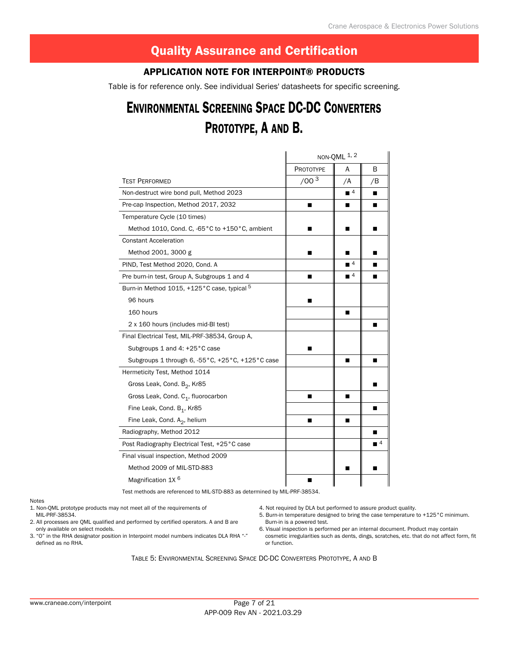#### Application Note for Interpoint® Products

Table is for reference only. See individual Series' datasheets for specific screening.

# Environmental Screening Space DC-DC Converters PROTOTYPE, A AND B.

|                                                     |                  | NON-QML 1, 2                |                             |
|-----------------------------------------------------|------------------|-----------------------------|-----------------------------|
|                                                     | PROTOTYPE        | А                           | B                           |
| <b>TEST PERFORMED</b>                               | /00 <sup>3</sup> | /A                          | /B                          |
| Non-destruct wire bond pull, Method 2023            |                  | $\blacksquare$ <sup>4</sup> |                             |
| Pre-cap Inspection, Method 2017, 2032               | ■                | ■                           |                             |
| Temperature Cycle (10 times)                        |                  |                             |                             |
| Method 1010, Cond. C, -65°C to +150°C, ambient      | ٠                | ▬                           | ٠                           |
| <b>Constant Acceleration</b>                        |                  |                             |                             |
| Method 2001, 3000 g                                 | ■                | ■                           |                             |
| PIND, Test Method 2020, Cond. A                     |                  | $\blacksquare$ <sup>4</sup> |                             |
| Pre burn-in test, Group A, Subgroups 1 and 4        |                  | $\blacksquare$ 4            | ■                           |
| Burn-in Method 1015, +125°C case, typical 5         |                  |                             |                             |
| 96 hours                                            |                  |                             |                             |
| 160 hours                                           |                  | ■                           |                             |
| 2 x 160 hours (includes mid-BI test)                |                  |                             | п                           |
| Final Electrical Test, MIL-PRF-38534, Group A,      |                  |                             |                             |
| Subgroups 1 and 4: +25 °C case                      |                  |                             |                             |
| Subgroups 1 through 6, -55 °C, +25 °C, +125 °C case |                  | п                           | п                           |
| Hermeticity Test, Method 1014                       |                  |                             |                             |
| Gross Leak, Cond. B <sub>2</sub> , Kr85             |                  |                             |                             |
| Gross Leak, Cond. C <sub>1</sub> , fluorocarbon     | ■                | п                           |                             |
| Fine Leak, Cond. B <sub>1</sub> , Kr85              |                  |                             |                             |
| Fine Leak, Cond. A <sub>2</sub> , helium            |                  | ■                           |                             |
| Radiography, Method 2012                            |                  |                             | п                           |
| Post Radiography Electrical Test, +25°C case        |                  |                             | $\blacksquare$ <sup>4</sup> |
| Final visual inspection, Method 2009                |                  |                             |                             |
| Method 2009 of MIL-STD-883                          |                  | ■                           | ٠                           |
| Magnification 1X <sup>6</sup>                       |                  |                             |                             |

Test methods are referenced to MIL-STD-883 as determined by MIL-PRF-38534.

#### Notes

1. Non-QML prototype products may not meet all of the requirements of MIL-PRF-38534.

2. All processes are QML qualified and performed by certified operators. A and B are only available on select models.

3. "O" in the RHA designator position in Interpoint model numbers indicates DLA RHA "-" defined as no RHA.

4. Not required by DLA but performed to assure product quality.

5. Burn-in temperature designed to bring the case temperature to +125°C minimum. Burn-in is a powered test.

6. Visual inspection is performed per an internal document. Product may contain cosmetic irregularities such as dents, dings, scratches, etc. that do not affect form, fit or function.

Table 5: Environmental Screening Space DC-DC Converters Prototype, A and B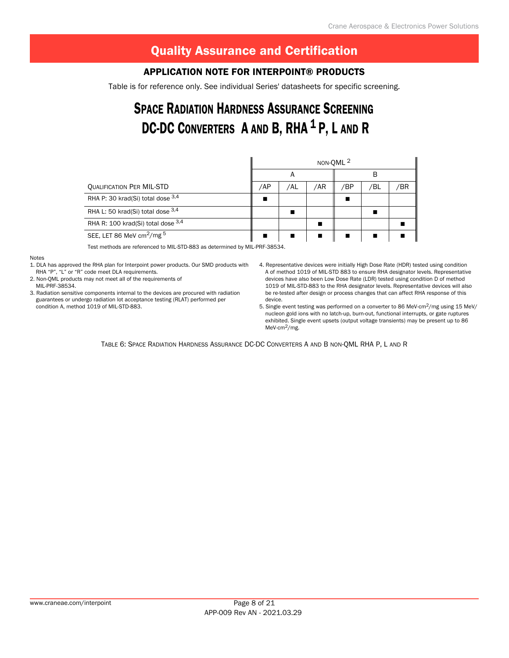#### Application Note for Interpoint® Products

Table is for reference only. See individual Series' datasheets for specific screening.

# Space Radiation Hardness Assurance Screening DC-DC CONVERTERS A AND B, RHA<sup>1</sup> P, L AND R

|                                         | NON-QML <sup>2</sup> |     |     |     |     |     |  |
|-----------------------------------------|----------------------|-----|-----|-----|-----|-----|--|
|                                         |                      | A   |     |     | В   |     |  |
| <b>QUALIFICATION PER MIL-STD</b>        | /AP                  | /AL | /AR | /BP | /BL | /BR |  |
| RHA P: 30 krad(Si) total dose 3,4       | п                    |     |     |     |     |     |  |
| RHA L: 50 krad(Si) total dose $3,4$     |                      |     |     |     |     |     |  |
| RHA R: 100 krad(Si) total dose 3,4      |                      |     |     |     |     |     |  |
| SEE, LET 86 MeV cm <sup>2</sup> /mg $5$ |                      |     |     |     |     |     |  |

Test methods are referenced to MIL-STD-883 as determined by MIL-PRF-38534.

#### Notes

1. DLA has approved the RHA plan for Interpoint power products. Our SMD products with

RHA "P", "L" or "R" code meet DLA requirements. 2. Non-QML products may not meet all of the requirements of MIL-PRF-38534.

3. Radiation sensitive components internal to the devices are procured with radiation guarantees or undergo radiation lot acceptance testing (RLAT) performed per condition A, method 1019 of MIL-STD-883.

- 4. Representative devices were initially High Dose Rate (HDR) tested using condition A of method 1019 of MIL-STD 883 to ensure RHA designator levels. Representative devices have also been Low Dose Rate (LDR) tested using condition D of method 1019 of MIL-STD-883 to the RHA designator levels. Representative devices will also be re-tested after design or process changes that can affect RHA response of this device.
- 5. Single event testing was performed on a converter to 86 MeV-cm<sup>2</sup>/mg using 15 MeV/ nucleon gold ions with no latch-up, burn-out, functional interrupts, or gate ruptures exhibited. Single event upsets (output voltage transients) may be present up to 86 MeV-cm2/mg.

Table 6: Space Radiation Hardness Assurance DC-DC Converters A and B non-QML RHA P, L and R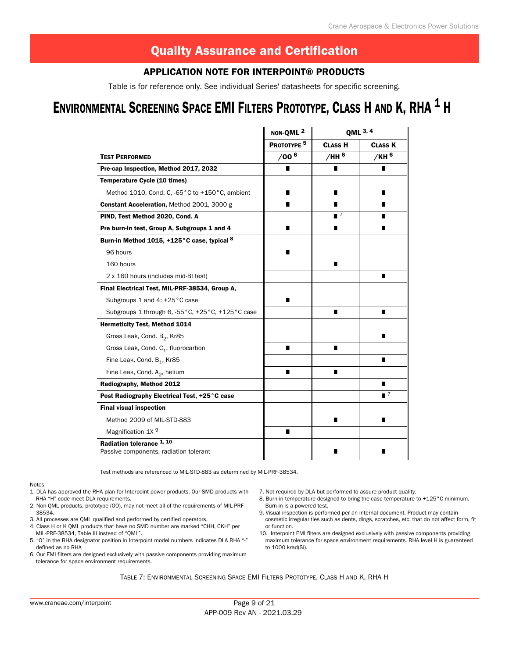#### Application Note for Interpoint® Products

Table is for reference only. See individual Series' datasheets for specific screening. Table is for reference only. See individual Series' datasheets for specific screening.

# ENVIRONMENTAL SCREENING SPACE EMI FILTERS PROTOTYPE, CLASS H AND K, RHA <sup>1</sup> H

|                                                                                | NON-QML <sup>2</sup>   | QML 3, 4       |                  |  |  |
|--------------------------------------------------------------------------------|------------------------|----------------|------------------|--|--|
|                                                                                | PROTOTYPE <sup>5</sup> | <b>CLASS H</b> | <b>CLASS K</b>   |  |  |
| <b>TEST PERFORMED</b>                                                          | /006                   | /HH 6          | /КН <sup>6</sup> |  |  |
| Pre-cap Inspection, Method 2017, 2032                                          | П                      | ∎              | ∎                |  |  |
| <b>Temperature Cycle (10 times)</b>                                            |                        |                |                  |  |  |
| Method 1010, Cond. C, -65°C to +150°C, ambient                                 |                        |                |                  |  |  |
| <b>Constant Acceleration, Method 2001, 3000 g</b>                              | ■                      |                |                  |  |  |
| PIND, Test Method 2020, Cond. A                                                |                        | $\blacksquare$ |                  |  |  |
| Pre burn-in test, Group A, Subgroups 1 and 4                                   | п                      | ■              | п                |  |  |
| Burn-in Method 1015, +125°C case, typical 8                                    |                        |                |                  |  |  |
| 96 hours                                                                       | П                      |                |                  |  |  |
| 160 hours                                                                      |                        | ■              |                  |  |  |
| 2 x 160 hours (includes mid-BI test)                                           |                        |                | ∎                |  |  |
| Final Electrical Test, MIL-PRF-38534, Group A,                                 |                        |                |                  |  |  |
| Subgroups 1 and 4: +25°C case                                                  | ■                      |                |                  |  |  |
| Subgroups 1 through 6, -55 °C, +25 °C, +125 °C case                            |                        | П              | п                |  |  |
| <b>Hermeticity Test, Method 1014</b>                                           |                        |                |                  |  |  |
| Gross Leak, Cond. B <sub>2</sub> , Kr85                                        |                        |                |                  |  |  |
| Gross Leak, Cond. C <sub>1</sub> , fluorocarbon                                | п                      | ■              |                  |  |  |
| Fine Leak, Cond. B <sub>1</sub> , Kr85                                         |                        |                | п                |  |  |
| Fine Leak, Cond. A <sub>2</sub> , helium                                       | п                      | ∎              |                  |  |  |
| Radiography, Method 2012                                                       |                        |                |                  |  |  |
| Post Radiography Electrical Test, +25°C case                                   |                        |                | $\blacksquare$ 7 |  |  |
| <b>Final visual inspection</b>                                                 |                        |                |                  |  |  |
| Method 2009 of MIL-STD-883                                                     |                        | ■              | ٠                |  |  |
| Magnification 1X <sup>9</sup>                                                  | п                      |                |                  |  |  |
| Radiation tolerance <sup>1, 10</sup><br>Passive components, radiation tolerant |                        |                |                  |  |  |

Test methods are referenced to MIL-STD-883 as determined by MIL-PRF-38534.

#### Notes

- 1. DLA has approved the RHA plan for Interpoint power products. Our SMD products with RHA "H" code meet DLA requirements.
- 2. Non-QML products, prototype (OO), may not meet all of the requirements of MIL-PRF-38534.
- 3. All processes are QML qualified and performed by certified operators.
- 4. Class H or K QML products that have no SMD number are marked "CHH, CKH" per MIL-PRF-38534, Table III instead of "QML".
- 5. "O" in the RHA designator position in Interpoint model numbers indicates DLA RHA "-" defined as no RHA
- 6. Our EMI filters are designed exclusively with passive components providing maximum tolerance for space environment requirements.
- 7. Not required by DLA but performed to assure product quality.
- 8. Burn-in temperature designed to bring the case temperature to +125°C minimum. Burn-in is a powered test.
- 9. Visual inspection is performed per an internal document. Product may contain cosmetic irregularities such as dents, dings, scratches, etc. that do not affect form, fit or function.
- 10. Interpoint EMI filters are designed exclusively with passive components providing maximum tolerance for space environment requirements. RHA level H is guaranteed to 1000 krad(Si).

Table 7: Environmental Screening Space EMI Filters Prototype, Class H and K, RHA H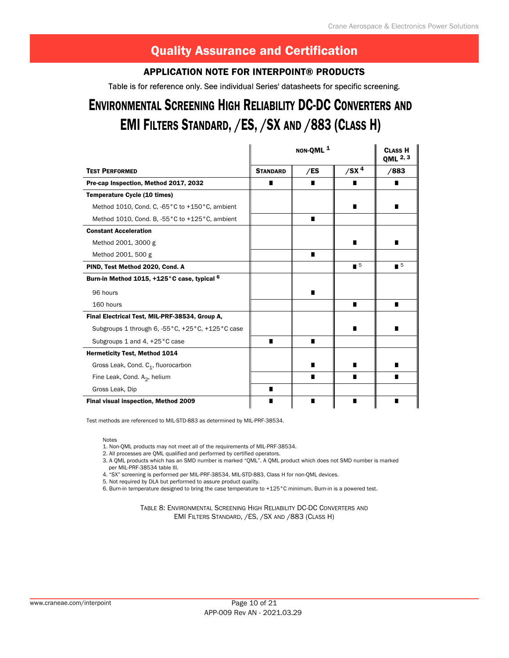#### Application Note for Interpoint® Products

Table is for reference only. See individual Series' datasheets for specific screening.

# ENVIRONMENTAL SCREENING HIGH RELIABILITY DC-DC CONVERTERS AND EMI FILTERS STANDARD, / ES, / SX AND / 883 (CLASS H)

|                                                        |                 | NON-QML <sup>1</sup> |                             | <b>CLASS H</b><br>QML 2, 3  |
|--------------------------------------------------------|-----------------|----------------------|-----------------------------|-----------------------------|
| <b>TEST PERFORMED</b>                                  | <b>STANDARD</b> | /ES                  | $/$ SX <sup>4</sup>         | /883                        |
| Pre-cap Inspection, Method 2017, 2032                  | ■               | ■                    | п                           |                             |
| Temperature Cycle (10 times)                           |                 |                      |                             |                             |
| Method 1010, Cond. C, -65°C to +150°C, ambient         |                 |                      | п                           |                             |
| Method 1010, Cond. B, -55°C to +125°C, ambient         |                 | п                    |                             |                             |
| <b>Constant Acceleration</b>                           |                 |                      |                             |                             |
| Method 2001, 3000 g                                    |                 |                      | п                           |                             |
| Method 2001, 500 g                                     |                 | п                    |                             |                             |
| PIND, Test Method 2020, Cond. A                        |                 |                      | $\blacksquare$ <sup>5</sup> | $\blacksquare$ <sup>5</sup> |
| Burn-in Method 1015, +125°C case, typical <sup>6</sup> |                 |                      |                             |                             |
| 96 hours                                               |                 |                      |                             |                             |
| 160 hours                                              |                 |                      | п                           |                             |
| Final Electrical Test, MIL-PRF-38534, Group A,         |                 |                      |                             |                             |
| Subgroups 1 through 6, -55 °C, +25 °C, +125 °C case    |                 |                      | ш                           |                             |
| Subgroups 1 and 4, +25 °C case                         | п               | $\blacksquare$       |                             |                             |
| <b>Hermeticity Test, Method 1014</b>                   |                 |                      |                             |                             |
| Gross Leak, Cond. C <sub>1</sub> , fluorocarbon        |                 | ■                    |                             |                             |
| Fine Leak, Cond. $A_2$ , helium                        |                 | п                    | п                           | ∎                           |
| Gross Leak, Dip                                        | п               |                      |                             |                             |
| Final visual inspection, Method 2009                   | ■               | ■                    |                             | ■                           |

Test methods are referenced to MIL-STD-883 as determined by MIL-PRF-38534.

Notes

1. Non-QML products may not meet all of the requirements of MIL-PRF-38534.

2. All processes are QML qualified and performed by certified operators.

3. A QML products which has an SMD number is marked "QML". A QML product which does not SMD number is marked per MIL-PRF-38534 table III.

4. "SX" screening is performed per MIL-PRF-38534, MIL-STD-883, Class H for non-QML devices.

5. Not required by DLA but performed to assure product quality.

6. Burn-in temperature designed to bring the case temperature to +125°C minimum. Burn-in is a powered test.

Table 8: Environmental Screening High Reliability DC-DC Converters and EMI Filters Standard, /ES, /SX and /883 (Class H)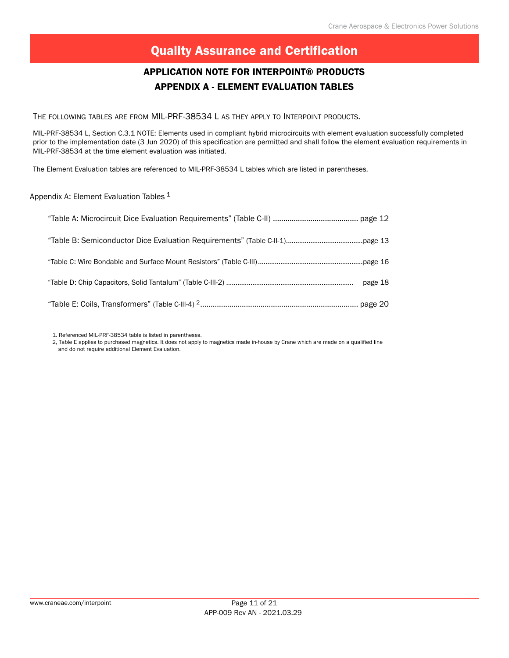#### APPENDIX A - ELEMENT EVALUATION TABLES Application Note for Interpoint® Products

The following tables are from MIL-PRF-38534 L as they apply to Interpoint products.

MIL-PRF-38534 L, Section C.3.1 NOTE: Elements used in compliant hybrid microcircuits with element evaluation successfully completed prior to the implementation date (3 Jun 2020) of this specification are permitted and shall follow the element evaluation requirements in MIL-PRF-38534 at the time element evaluation was initiated.

The Element Evaluation tables are referenced to MIL-PRF-38534 L tables which are listed in parentheses.

Appendix A: Element Evaluation Tables <sup>1</sup>

1. Referenced MIL-PRF-38534 table is listed in parentheses.

2, Table E applies to purchased magnetics. It does not apply to magnetics made in-house by Crane which are made on a qualified line and do not require additional Element Evaluation.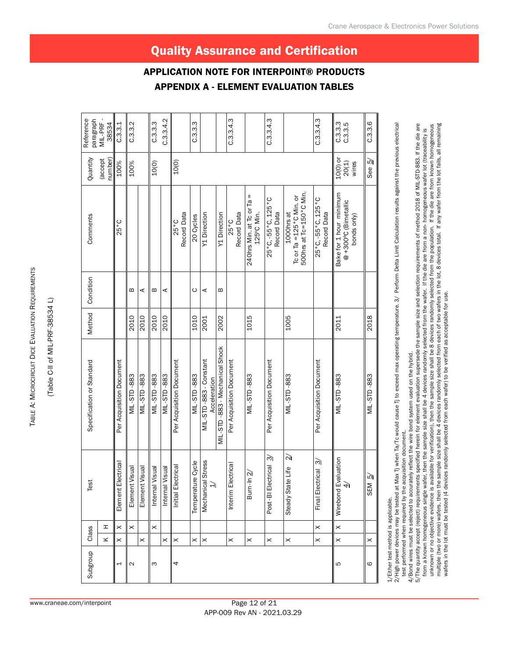TABLE A: MICROCIRCUIT DICE EVALUATION REQUIREMENTS Table A: Microcircuit Dice Evaluation Requirements

(Table C-II of MIL-PRF-38534 L) (Table C-II of MIL-PRF-38534 L)

| Reference<br>paragraph    | MIL-PRF<br>38534   | C.3.3.1                  | C.3.3.2            |                    | C.3.3.3            | C.3.3.4.2       |                          | C.3.3.3               |                                      |                              | C.3.3.4.3                |                                            | C.3.3.4.3                         |                                                                             | C.3.3.4.3                         | C.3.3.3<br>C.3.3.5                                            | C.3.3.6               |
|---------------------------|--------------------|--------------------------|--------------------|--------------------|--------------------|-----------------|--------------------------|-----------------------|--------------------------------------|------------------------------|--------------------------|--------------------------------------------|-----------------------------------|-----------------------------------------------------------------------------|-----------------------------------|---------------------------------------------------------------|-----------------------|
| Quantity                  | number)<br>accept) | 100%                     | 100%               |                    | 10(0)              |                 | 10(0)                    |                       |                                      |                              |                          |                                            |                                   |                                                                             |                                   | 10(0) or<br>$20(1)$<br>wires                                  | See 5/                |
| Comments                  |                    | 25°C                     |                    |                    |                    |                 | Record Data<br>25°C      | 20 Cycles             | Y1 Direction                         | Y1 Direction                 | Record Data<br>25°C      | Ш<br>240hrs Min. at Tc or Ta<br>125°C Min. | 25°C, -55°C, 125°C<br>Record Data | 500hrs at Tc=150°C Min.<br>To or Ta = $125^{\circ}$ C Min. or<br>1000hrs at | 25°C, -55°C, 125°C<br>Record Data | Bake for 1 hour minimum<br>@+300°C (Bimetallic<br>bonds only) |                       |
| Condition                 |                    |                          | m                  | ⋖                  | m                  | ⋖               |                          | ပ                     | ⋖                                    | m                            |                          |                                            |                                   |                                                                             |                                   |                                                               |                       |
| Method                    |                    |                          | 2010               | 2010               | 2010               | 2010            |                          | 1010                  | 2001                                 | 2002                         |                          | 1015                                       |                                   | 1005                                                                        |                                   | 2011                                                          | 2018                  |
| Specification or Standard |                    | Per Acquisition Document | <b>MIL-STD-883</b> | <b>MIL-STD-883</b> | <b>MIL-STD-883</b> | MIL-STD-883     | Per Acquisition Document | MIL-STD-883           | MIL-STD-883-Constant<br>Acceleration | MIL-STD-883-Mechanical Shock | Per Acquisition Document | MIL-STD-883                                | Per Acquisition Document          | MIL-STD-883                                                                 | Per Acquisition Document          | <b>MIL-STD-883</b>                                            | MIL-STD-883           |
| Test                      |                    | Element Electrical       | Element Visual     | Element Visual     | Internal Visual    | Internal Visual | Initial Electrical       | Temperature Cycle     | tress<br>Mechanical St<br>ЭI         |                              | Interim Electrical       | Burn-In 2                                  | ল<br>Post-BI Electrical           | $\approx$<br>ہے<br>Steady State Li                                          | Final Electrical 3/               | Wirebond Evaluation<br>$\overleftrightarrow{4}$               | SEM <sub>5</sub>      |
| Class                     | $\mathbf T$        | $\times$                 | $\times$           |                    | $\times$           |                 |                          |                       |                                      |                              |                          |                                            |                                   |                                                                             | $\times$                          | $\times$                                                      |                       |
|                           | ×                  | $\boldsymbol{\times}$    |                    | $\times$           |                    | $\times$        | ×                        | $\boldsymbol{\times}$ | $\times$                             |                              | $\times$                 | $\boldsymbol{\times}$                      | $\times$                          | $\times$                                                                    | $\times$                          | $\times$                                                      | $\boldsymbol{\times}$ |
| Subgroup                  |                    | 1                        | $\mathbf{\Omega}$  |                    | ω                  |                 | 4                        |                       |                                      |                              |                          |                                            |                                   |                                                                             |                                   | 5                                                             | ဖ                     |
|                           |                    |                          |                    |                    |                    |                 |                          |                       |                                      |                              |                          |                                            |                                   |                                                                             |                                   |                                                               |                       |

1/Either test method is applicable. 1/Either test method is applicable.

2/High power devices may be tested at Max Tj when Ta/Tc would cause Tj to exceed max operating temperature. 3/ Perform Delta Limit Calculation results against the previous electrical 2/High power devices may be tested at Max Tj when Ta/Tc would cause Tj to exceed max operating temperature. 3/ Perform Delta Limit Calculation results against the previous electrical test performed when required by the acquisition document. test performed when required by the acquisition document.

4/Bond wires must be selected to accurately reflect the wire bond system used on the hybrid. 4/Bond wires must be selected to accurately reflect the wire bond system used on the hybrid.

multiple (two or more) wafers, then the sample size shall be 4 devices randomly selected from each of two wafers in the lot, 8 devices total. If any wafer from the lot fails, all remaining 5/The quantity accept (reject) requirements specified herein for element evaluation supersede the sample size and selection requirements of method 2018 of MIL-STD-883. If the die are 5/The quantity accept (reject) requirements specified herein for element evaluation supersede the sample size and selection requirements of method 2018 of MIL-STD-883. If the die are unknown or no objective evidence is available for verification), then the sample size shall be 8 devices randomly selected from the population. If the die are from known homogeneous<br>multiple (two or more) wafers, then the unknown or no objective evidence is available for verification), then the sample size shall be 8 devices randomly selected from the population. If the die are from known homogeneous from a known homogeneous single wafer, then the sample size shall be 4 devices randomly selected from the wafer. If the die are from a non- homogeneous wafer lot (traceability is from a known homogeneous single wafer, then the sample size shall be 4 devices randomly selected from the wafer. If the die are from a non- homogeneous wafer lot (traceability is wafers in the lot must be tested (4 devices randomly selected from each wafer) to be verified as acceptable for use.

# Quality Assurance and Certification

APPENDIX A - ELEMENT EVALUATION TABLES

APPLICATION NOTE FOR INTERPOINT® P

www.craneae.com/interpoint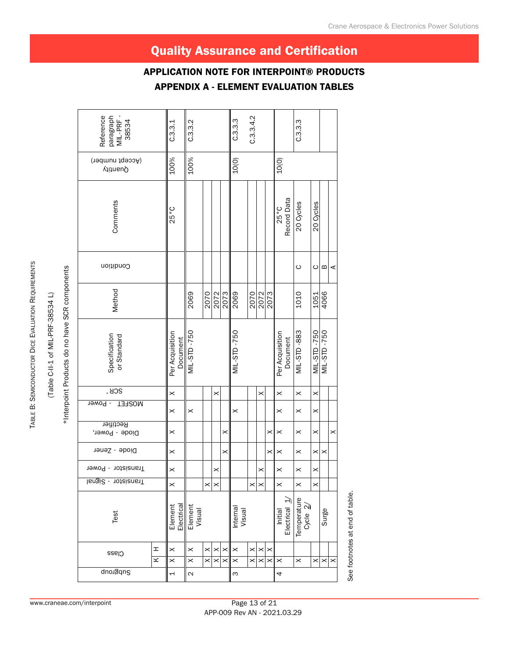#### APPENDIX A - ELEMENT EVALUATION TABLES Application Note for Interpoint® Products

| paragraph<br>MIL-PRF -<br>Reference<br>38534 | C.3.3.1                     | C.3.3.2               |                       |                                   |                       | C.3.3.3              | C.3.3.4.2            |          |                      |                                |             | C.3.3.3                 |                       |                    |   |
|----------------------------------------------|-----------------------------|-----------------------|-----------------------|-----------------------------------|-----------------------|----------------------|----------------------|----------|----------------------|--------------------------------|-------------|-------------------------|-----------------------|--------------------|---|
| (Accept number)<br>Quautity                  | 100%                        | 100%                  |                       |                                   |                       | 10(0)                |                      |          |                      | 10(0)                          |             |                         |                       |                    |   |
| Comments                                     | 25°C                        |                       |                       |                                   |                       |                      |                      |          |                      | 25°C                           | Record Data | 20 Cycles               | 20 Cycles             |                    |   |
| Condition                                    |                             |                       |                       |                                   |                       |                      |                      |          |                      |                                |             | ပ                       | ပ                     | ≃                  | ⋖ |
| Method                                       |                             | 2069                  | 2070                  |                                   | 2072<br>2073          | 2069                 |                      | 2070     | 2073                 |                                |             | 1010                    | 1051                  | 4066               |   |
| Specification<br>or Standard                 | Per Acquisition<br>Document | MIL-STD-750           |                       |                                   |                       | MIL-STD-750          |                      |          |                      | Per Acquisition                | Document    | MIL-STD-883             | MIL-STD-750           | <b>MIL-STD-750</b> |   |
| <b>SCR</b>                                   | $\times$                    |                       |                       | $\times$                          |                       |                      |                      | $\times$ |                      | $\times$                       |             | $\times$                | $\times$              |                    |   |
| - Power<br><b>MOSFET</b>                     | $\times$                    | $\boldsymbol{\times}$ |                       |                                   |                       | $\times$             |                      |          |                      | $\times$                       |             | $\times$                | $\times$              |                    |   |
| Rectifier<br>Diode - Power,                  | $\times$                    |                       |                       |                                   | $\times$              |                      |                      |          | ×                    | $\times$                       |             | $\times$                | ×                     |                    | × |
| Diode - Zener                                | $\times$                    |                       |                       |                                   | $\boldsymbol{\times}$ |                      |                      |          | ×                    | $\times$                       |             | $\boldsymbol{\times}$   | $\boldsymbol{\times}$ | ×                  |   |
| Transistor - Power                           | $\times$                    |                       |                       | ×                                 |                       |                      |                      | ×        |                      | $\boldsymbol{\times}$          |             | $\boldsymbol{\times}$   | ×                     |                    |   |
| Transistor - Signal                          | $\times$                    |                       | $\boldsymbol{\times}$ | $\times$                          |                       |                      | $\times$             | $\times$ |                      | $\pmb{\times}$                 |             | $\times$                | $\times$              |                    |   |
| Test                                         | Element<br>Electrical       | Element<br>Visual     |                       |                                   |                       | Internal<br>Visual   |                      |          |                      | Initial<br>Electrical <u>サ</u> |             | Temperature<br>Cycle 2/ |                       | Surge              |   |
| I<br>Class<br>$\leq$                         | $\pmb{\times}$<br>$\times$  | $\times$<br>$\times$  | $\times$<br>$\times$  | $\boldsymbol{\times}$<br>$\times$ | $\times$              | $\times$<br>$\times$ | $\times$<br>$\times$ | $\times$ | $\times$<br>$\times$ | $\times$                       |             | $\boldsymbol{\times}$   | ×                     | ×                  | × |
| Subgroup                                     | $\overline{a}$              | $\mathbf{\Omega}$     |                       |                                   |                       | $\infty$             |                      |          |                      | 4                              |             |                         |                       |                    |   |

See footnotes at end of table. See footnotes at end of table.

TABLE B: SEMICONDUCTOR DICE EVALUATION REQUIREMENTS Table B: Semiconductor Dice Evaluation Requirements

(Table C-II-1 of MIL-PRF-38534 L)

\*Interpoint Products do no have SCR components

\*Interpoint Products do no have SCR components (Table C-II-1 of MIL-PRF-38534 L)

#### www.craneae.com/interpoint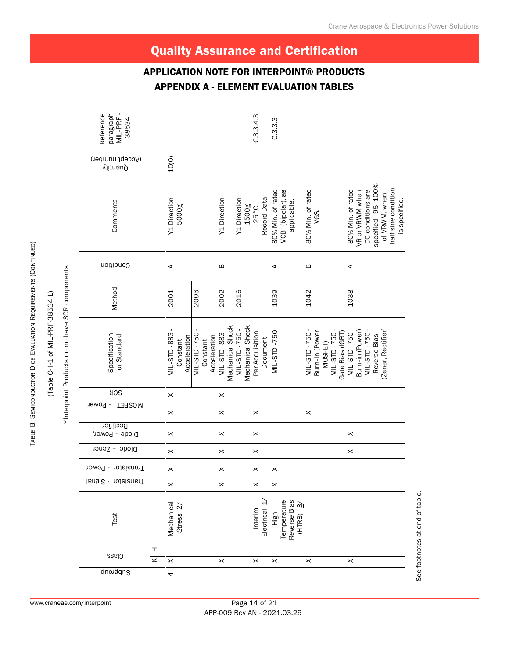#### APPENDIX A - ELEMENT EVALUATION TABLES Application Note for Interpoint® Products

| paragraph<br>MIL-PRF-<br>Reference<br>38534 |                                   |                                                         |                                  |                                  | C.3.3.4.3                     | C.3.3                                                 |                                                                  |                                                                                                                                          |
|---------------------------------------------|-----------------------------------|---------------------------------------------------------|----------------------------------|----------------------------------|-------------------------------|-------------------------------------------------------|------------------------------------------------------------------|------------------------------------------------------------------------------------------------------------------------------------------|
| (Accept number)<br>Quautity                 | 10(0)                             |                                                         |                                  |                                  |                               |                                                       |                                                                  |                                                                                                                                          |
| Comments                                    | Y1 Direction<br>5000g             |                                                         | Y1 Direction                     | Y1 Direction<br>1500g            | Record Data<br>$25^{\circ}$ C | VCB (bipolar), as<br>80% Min. of rated<br>applicable. | 80% Min. of rated<br>VGS.                                        | specified. 95-100%<br>half sine condition<br>80% Min. of rated<br>DC conditions are<br>VR or VRWM when<br>of VRWM, when<br>is specified. |
| Condition                                   | ⋖                                 |                                                         | m                                |                                  |                               | ⋖                                                     | m                                                                | ⋖                                                                                                                                        |
| Method                                      | 2001                              | 2006                                                    | 2002                             | 2016                             |                               | 1039                                                  | 1042                                                             | 1038                                                                                                                                     |
| Specification<br>or Standard                | MIL-STD-883<br>Constant           | MIL-STD-750<br>Acceleration<br>Acceleration<br>Constant | Mechanical Shock<br>MIL-STD-883- | Mechanical Shock<br>MIL-STD-750- | Per Acquisition<br>Document   | MIL-STD-750                                           | MIL-STD-750-<br>MIL-STD-750-<br>Burn-in (Power<br><b>MOSFET)</b> | (Zener, Rectifier)<br>MIL-STD-750-<br>Burn-in (Power)<br>057-QLS-7IM<br>Gate Bias (IGBT)<br>Reverse Bias                                 |
| <b>AOS</b>                                  | $\pmb{\times}$                    |                                                         | $\boldsymbol{\times}$            |                                  |                               |                                                       |                                                                  |                                                                                                                                          |
| <b>MOSFET</b><br>- Power                    | $\pmb{\times}$                    |                                                         | $\boldsymbol{\times}$            |                                  | $\pmb{\times}$                |                                                       | $\times$                                                         |                                                                                                                                          |
| Rectifier<br>Diode - Power,                 | $\pmb{\times}$                    |                                                         | $\boldsymbol{\times}$            |                                  | $\boldsymbol{\times}$         |                                                       |                                                                  | $\times$                                                                                                                                 |
| Diode - Zener                               | $\pmb{\times}$                    |                                                         | $\boldsymbol{\times}$            |                                  | $\times$                      |                                                       |                                                                  | $\times$                                                                                                                                 |
| Transistor - Power                          | $\times$                          |                                                         | ×                                |                                  | ×                             | $\times$                                              |                                                                  |                                                                                                                                          |
| Transistor - Signal                         | $\times$                          |                                                         | $\times$                         |                                  | $\pmb{\times}$                | $\pmb{\times}$                                        |                                                                  |                                                                                                                                          |
| Test                                        | Mechanical<br>Stress <sub>2</sub> |                                                         |                                  |                                  | Interim<br>Electrical         | Reverse Bias<br>(HTRB) 3/<br>Temperature<br>High      |                                                                  |                                                                                                                                          |
| I<br>Class<br>$\leq$                        | $\boldsymbol{\times}$             |                                                         | $\times$                         |                                  | $\times$                      | $\boldsymbol{\times}$                                 | $\times$                                                         | $\boldsymbol{\times}$                                                                                                                    |
| Subgroup                                    | 4                                 |                                                         |                                  |                                  |                               |                                                       |                                                                  |                                                                                                                                          |

(Table C-II-1 of MIL-PRF-38534 L) (Table C-II-1 of MIL-PRF-38534 L)

\*Interpoint Products do no have SCR components

\*Interpoint Products do no have SCR components

Table B: Semiconductor Dice Evaluation Requirements (

TABLE B: SEMICONDUCTOR DICE EVALUATION REQUIREMENTS (CONTINUED)

CONTINUED)

# See footnotes at end of table. See footnotes at end of table.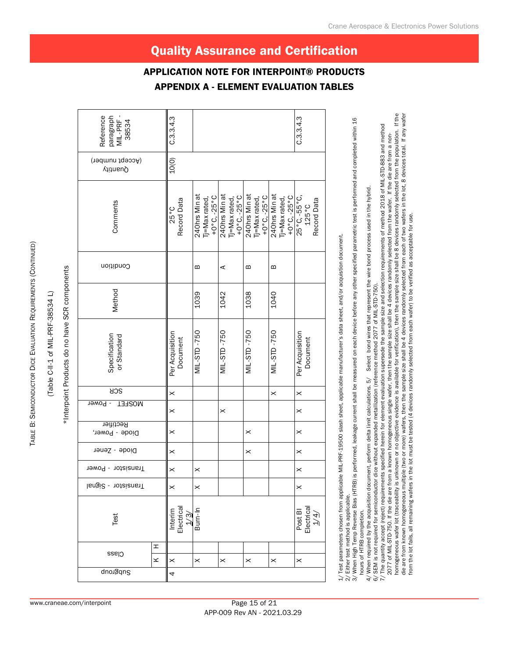# (Table C-II-1 of MIL-PRF-38534 L) (Table C-II-1 of MIL-PRF-38534 L)

| Ĭ           |
|-------------|
| ؟<br>؟      |
| こうこうこく<br>ì |
|             |
| : :         |

|                                             |   |                                       |                                                                    |                                                 |                                                                     |                                                 | <b>APPENDIX A - ELEMENT EVALUATION TABLES</b> |
|---------------------------------------------|---|---------------------------------------|--------------------------------------------------------------------|-------------------------------------------------|---------------------------------------------------------------------|-------------------------------------------------|-----------------------------------------------|
| Reference<br>paragraph<br>MIL-PRF-<br>38534 |   | C.3.3.4.3                             |                                                                    |                                                 |                                                                     |                                                 | C.3.3.4.3                                     |
| (Accept number)<br>Quantity                 |   | 10(0)                                 |                                                                    |                                                 |                                                                     |                                                 |                                               |
| Comments                                    |   | Record Data<br>25°C                   | 240hrs Minat<br>+0 $^{\circ}$ C, -25 $^{\circ}$ C<br>Tj=Max rated, | 240hrs Min at<br>$+0°C - 25°C$<br>Tj=Max rated, | 240hrs Min at<br>Tj=Max rated,<br>+0 $^{\circ}$ C, -25 $^{\circ}$ C | 240hrs Minat<br>$+0.6 - 5.0 +$<br>Tj=Max rated, | $25°C, -55°C,$<br>$125°C$<br>Record Data      |
| Condition                                   |   |                                       | m                                                                  | ⋖                                               | m                                                                   | m                                               |                                               |
| Method                                      |   |                                       | 1039                                                               | 1042                                            | 1038                                                                | 1040                                            |                                               |
| Specification<br>or Standard                |   | Per Acquisition<br>Document           | <b>MIL-STD-750</b>                                                 | <b>MIL-STD-750</b>                              | <b>MIL-STD-750</b>                                                  | MIL-STD-750                                     | Per Acquisition<br>Document                   |
| <b>SCR</b>                                  |   | $\times$                              |                                                                    |                                                 |                                                                     | $\times$                                        | $\times$                                      |
| - Power<br><b>MOSFET</b>                    |   | $\times$                              |                                                                    | $\times$                                        |                                                                     |                                                 | ×                                             |
| Rectifier<br>Diode - Power,                 |   | $\boldsymbol{\times}$                 |                                                                    |                                                 | $\times$                                                            |                                                 | $\times$                                      |
| Diode - Zener                               |   |                                       |                                                                    |                                                 |                                                                     |                                                 |                                               |
| Transistor - Power                          |   | $\boldsymbol{\times}$                 | $\times$                                                           |                                                 |                                                                     |                                                 | $\times$                                      |
| Transistor - Signal                         |   | $\boldsymbol{\times}$                 | $\times$                                                           |                                                 |                                                                     |                                                 | ×                                             |
| Test                                        |   | Electrica<br>Interim<br>$\frac{1}{3}$ | Burn-In                                                            |                                                 |                                                                     |                                                 | Post BI<br>Electrical                         |
| Class                                       | I |                                       |                                                                    |                                                 |                                                                     |                                                 |                                               |
| Subgroup                                    | × | $\times$<br>4                         | $\times$                                                           | $\times$                                        | $\times$                                                            | $\times$                                        | $\times$                                      |
|                                             |   |                                       |                                                                    |                                                 |                                                                     |                                                 |                                               |

Either test method is applicable.<br>When High Temp Reverse Bias (HTRB) is performed, leakage current shall be measured on each device before any other specified parametric test is performed and completed within 16 3/ When High Temp Reverse Bias (HTRB) is performed, leakage current shall be measured on each device before any other specified parametric test is performed and completed within 16 2/ Either test method is applicable. hours of HTRB completion.

4/ When required by the acquisition document, perform delta limit calculations. 5/ Select bond wires that represent the wire bond process used in the hybrid. Select bond wires that represent the wire bond process used in the hybrid hours of HTRB completion.<br>4/ When required by the acquisition document, perform delta limit calculations. 5/ Select bond wires that represent th<br>6/ SEM is not required tor semiconductor dice without expanded metallization

2077 of MIL-STD-750. If the die are from a known homogeneous single wafer, then the sample size shall be 4 devices randomly selected from the wafer. If the die are from a non-<br>homogeneous wafer lot (traceability is unknown homogeneous wafer lot (traceability is unknown or no objective evidence is available for verification), then the sample size shall be 8 devices randomly selected from the population. If the die are from known homogeneous multiple (two or more) wafers, then the sample size shall be 4 devices randomly selected from each of two wafers in the lot, 8 devices total. If any wafer 7/ The quantity accept (reject) requirements specified herein for element evaluation supersede the sample size and selection requirements of method 2018 of MIL-STD-883 and method The quantity accept (reject) requirements specified herein for element evaluation supersede the sample size and selection requirements of method 2018 of MIL-STD-883 and method 2077 of MIL-STD-750. If the die are from a known homogeneous single wafer, then the sample size shall be 4 devices randomly selected from the wafer. If the die are from a non-6/ SEM is not required for semiconductor dice without expanded metallization (reference method 2077 of MIL-STD-750).

from the lot fails, all remaining wafers in the lot must be tested (4 devices randomly selected from each wafer) to be verified as acceptable for use.

Quality Assurance and Certification

Application Note for Interpoint® Products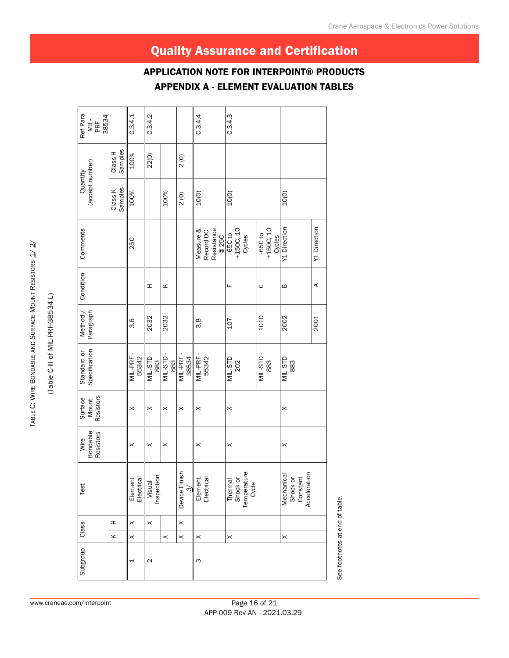#### $C.3.4.1$  $C.3.4.2$  $C.3.4.4$  $C.3.4.3$ Ref Para 3.8 || 25C 100% 25C || 25C 25C 25C || 25.4.1 2032 H 2032 H 2032 H 2032 H 2032 H 2032 H 2032 H 2032 H 2032 H 2032 H 2032 H 2032 H 2032 H 2032 H 20 10(0) C.3.4.4 10(0) C.3.4.3 ML<br>PRF -<br>38534 Class H Samples 100% 22(0)  $\overline{2}$  (O)  $(0)$  2 (0) (accept number) (accept number) Quantity Condition Comments Quantity Class K<br>Samples 100% 10(0) K H Class K 100%  $10(0)$  $\frac{1}{2}$ 10(0) 2032 K 100% 2002 B Y1 Direction 10(0)  $-65C to +150C, 10$ sap<br>07 '00ST+<br>07 039-Y1 Direction Y1 Direction 2001 A Y1 Direction Comments 3.8 Measure & Resistance +150C, 10 +150C, 10 Record DC 107 F -65C to 1010 C -65C to @ 25C **25C** Condition  $\boldsymbol{\mathsf{m}}$ ⋖ Ξ,  $\leq$ Щ O Paragraph Method / 2032 2032 1010 2002 2001 3.8  $3.8$ 107 Standard or<br>Specification Specification MIL-STD -<br>883 MIL-STD -<br>883 Standard or X X MIL-PRF - MIL-STD -<br>883 X X MIL-STD - X X X MIL-STD - X MIL-PRF - MIL-PRF -<br>55342 X X MIL-PRF -  $ML-STD$ X X MIL-STD - MIL-STD - X X MIL-STD - MIL-PRF<br>55342  $MIL-STD$ 883<br>L-PRF<br>38534 202 Resistors Surface Mount  $\times$  $\times$  $\times$  $\times$  $\pmb{\times}$  $\times$  $\times$ Bondable<br>Resistors Bondable Resistors Wire Subgroup Class Test Wire  $\times$  $\times$  $\times$  $\times$  $\times$  $\times$ Shock or<br>Constant<br>Acceleration Device Finish X X Device Finish **Temperature** Visual<br>Inspection Element<br>Electrical Mechanical Acceleration X Mechanical Element<br>Electrical Inspection Electrical Electrical Shock or Cycle Constant 1 X X Element 3 X Element X Thermal 2 X Visual Test 3/ Class I  $\times$  $\times$  $\times$  $\geq$  $\times$  $\times$  $\times$  $\times$  $\times$ Subgroup  $\overline{a}$  $\sim$  $\infty$

#### APPENDIX A - ELEMENT EVALUATION TABLES Application Note for Interpoint® Products

Quality Assurance and Certification

TABLE C: WIRE BONDABLE AND SURFACE

TABLE C: WIRE BONDABLE AND SURFACE MOUNT RESISTORS 1/2/

(Table C-III of MIL-PRF-38534 L)

(Table C-III of MIL-PRF-38534 L)

Mount Resistors

See footnotes at end of table.

See footnotes at end of table.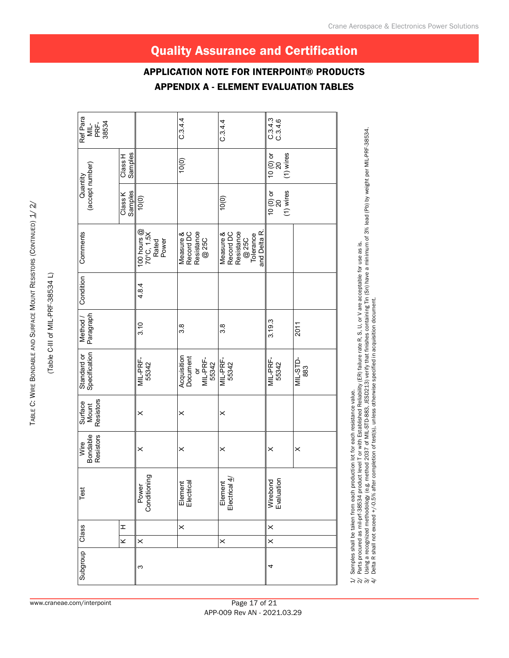| Subgroup | Class                   |          | Test                                | Bondable<br>Resistors<br>Wire | Resistors<br>Surface<br>Mount | Standard or<br>Specification                                        | Paragraph<br>Method / | Condition | Comments                                                                   | (accept number)<br>Quantity       |                                | Ref Para<br>MIL-<br>PRF-<br>38534 |
|----------|-------------------------|----------|-------------------------------------|-------------------------------|-------------------------------|---------------------------------------------------------------------|-----------------------|-----------|----------------------------------------------------------------------------|-----------------------------------|--------------------------------|-----------------------------------|
|          | $\overline{\mathbf{x}}$ | I        |                                     |                               |                               |                                                                     |                       |           |                                                                            | Class K                           | Class H<br>Samples             |                                   |
| ω        | $\times$                |          | Power<br>Conditioning               | ×                             | $\times$                      | MIL-PRF-<br>55342                                                   | 3.10                  | 4.8.4     | 100 hours $@$<br>70°C, 1.5X<br>Rated<br>Power                              | Samples<br>10(0)                  |                                |                                   |
|          |                         | $\times$ | Element<br>Electrical               | $\times$                      | $\times$                      | Acquisition<br>Document<br>MIL-PRF-<br>55342<br>$\overline{\sigma}$ | 3.8                   |           | Resistance<br>Measure &<br>Record DC<br>@ 25C                              |                                   | 10(0)                          | C.3.4.4                           |
|          | $\times$                |          | Element<br>Electrical $\frac{d}{d}$ | $\times$                      | $\times$                      | MIL-PRF-<br>55342                                                   | 3.8                   |           | and Delta R.<br>Measure &<br>Record DC<br>Resistance<br>@ 25C<br>Tolerance | 10(0)                             |                                | C.3.4.4                           |
| 4        | $\times$                | $\times$ | Wirebond<br>Evaluation              | $\times$                      |                               | MIL-PRF-<br>55342                                                   | 3.19.3                |           |                                                                            | $(1)$ wires<br>$10(0)$ or<br>$20$ | $(1)$ wires<br>10 (0) or<br>20 | C 3 4 3<br>C 3 4 6                |
|          |                         |          |                                     | $\times$                      |                               | <b>MIL-STD-</b><br>883                                              | 2011                  |           |                                                                            |                                   |                                |                                   |

 $1/$  Samples shall be taken from each production lot for each resistance value. 2/ Parts procured as mil-prf-38534 product level T or with Established Reliability (ER) failure rate R, S, U, or V are acceptable for use as is.

Samples shall be taken from each production lot for each resistance value.<br>Parts procured as mil-prf-38534 product level T or with Established Reliability (ER) failure rate R, S, U, or V are acceptable for use as is.<br>Using 3/ Using a recognized methodology (e.g. method 2037 of MIL-STD-883, JESD213) verify that finishes containing Tin (Sn) have a minimum of 3% lead (Pb) by weight per MIL-PRF-38534. 4/ Delta R shall not exceed +/-0.5% after completion of test(s), unless otherwise specified in acquisition document.  $\rightarrow$   $\stackrel{\sim}{\sim}$   $\stackrel{\sim}{\sim}$   $\stackrel{\sim}{\sim}$ 

Crane Aerospace & Electronics Power Solutions

 $\mathbf{I}$ 

# Quality Assurance and Certification

APPENDIX A - ELEMENT EVALUATION TABLES

Application Note for Interpoint® Products

(Table C-III of MIL-PRF-38534 L)

(Table C-III of MIL-PRF-38534 L)

Table

www.craneae.com/interpoint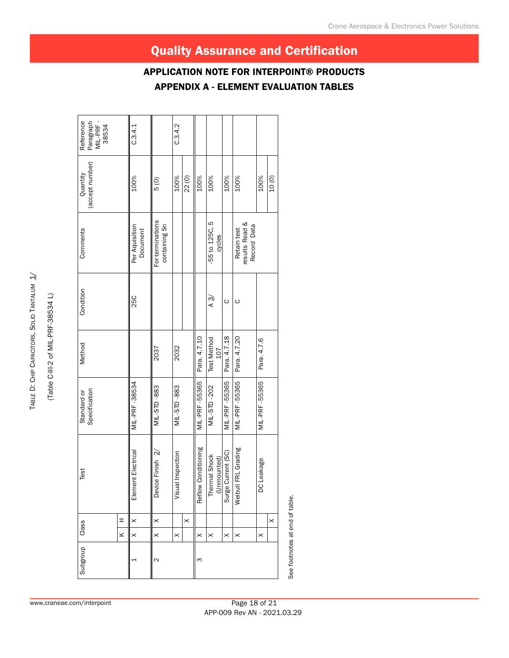APPENDIX A - ELEMENT EVALUATION TABLES Application Note for Interpoint® Products

| Reference<br>Paragraph<br>MIL-PRF-<br>38534 |        | C.3.4.1                    |                                   | C.3.4.2               |          |                     |                              |                      |                                              |               |          |
|---------------------------------------------|--------|----------------------------|-----------------------------------|-----------------------|----------|---------------------|------------------------------|----------------------|----------------------------------------------|---------------|----------|
| (accept number)<br>Quantity                 |        | 100%                       | $\frac{6}{6}$                     | 100%                  | 22(0)    | 100%                | 100%                         | 100%                 | 100%                                         | 100%          | 10(0)    |
| Comments                                    |        | Per Aquisition<br>Document | For terminations<br>containing Sn |                       |          |                     | -55 to 125C, 5<br>cycles     |                      | results Read &<br>Record Data<br>Retain test |               |          |
| Condition                                   |        | 25C                        |                                   |                       |          |                     | $\frac{3}{4}$                | ပ                    | $\circ$                                      |               |          |
| Method                                      |        |                            | 2037                              | 2032                  |          | Para. 4.7.10        | <b>Test Method</b><br>107    | Para. 4.7.18         | Para. 4.7.20                                 | Para. 4.7.6   |          |
| Specification<br>Standard or                |        | MIL-PRF-38534              | MIL-STD-883                       | MIL-STD-883           |          | MIL-PRF-55365       | MIL-STD-202                  | <b>MIL-PRF-55365</b> | MIL-PRF-55365                                | MIL-PRF-55365 |          |
| Test                                        |        | Element Electrical         | Device Finish $2/$                | Visual Inspection     |          | Reflow Conditioning | Thermal Shock<br>(Unmounted) | Surge Current (SC)   | FRL Grading<br>Weibul                        | DC Leakage    |          |
|                                             | I      | $\times$                   | $\times$                          |                       | $\times$ |                     |                              |                      |                                              |               | $\times$ |
| Class                                       | $\leq$ | $\times$                   | $\times$                          | $\boldsymbol{\times}$ |          | $\times$            | $\times$                     | $\times$             | $\times$                                     | $\times$      |          |
| Subgroup                                    |        | ↤                          | 2                                 |                       |          | ω                   |                              |                      |                                              |               |          |

(Table C-III-2 of MIL-PRF-38534 L) (Table C-III-2 of MIL-PRF-38534 L)

Table D:

운<br>5

Capacitors, Solid Tantalum

<u>त्र</u>

www.craneae.com/interpoint

See footnotes at end of table.

See footnotes at end of table.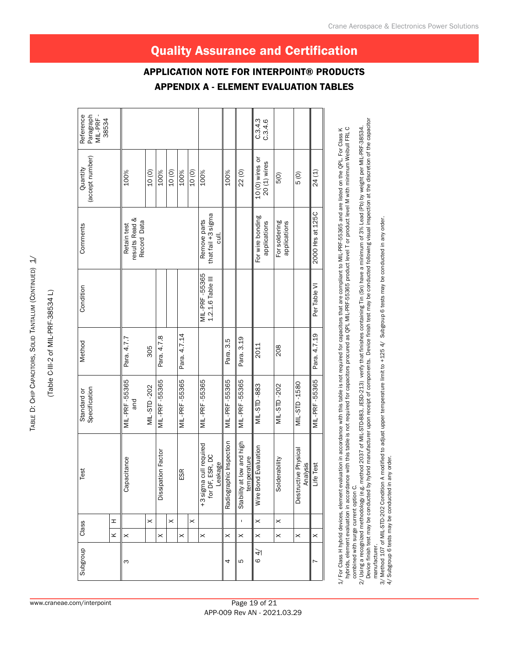TABLE D: TABLE D: CHIP CAPACITORS, SOLID TANTALUM (CONTINUED) 1/ Capacitors, Solid Tantalum ( Continued) 1/

(Table C-III-2 of MIL-PRF-38534 L) (Table C-III-2 of MIL-PRF-38534 L)

www.craneae.com/interpoint

|                                             |   |                                              |             |                           |          |               |                       | <b>APPENDIX A -</b>                                       |                         | <b>ELEMENT</b>                              |                                  | <b>EVALUATION TABLES</b>      |                                                 |                  |
|---------------------------------------------|---|----------------------------------------------|-------------|---------------------------|----------|---------------|-----------------------|-----------------------------------------------------------|-------------------------|---------------------------------------------|----------------------------------|-------------------------------|-------------------------------------------------|------------------|
| Reference<br>Paragraph<br>MIL-PRF-<br>38534 |   |                                              |             |                           |          |               |                       |                                                           |                         |                                             | C.3.4.3<br>C.3.4.6               |                               |                                                 |                  |
| (accept number)<br>Quantity                 |   | 100%                                         | 10(0)       | 100%                      | 10(0)    | 100%          | 10(0)                 | 100%                                                      | 100%                    | 22(0)                                       | $10(0)$ wires or<br>20 (1) wires | 5(0)                          | $\frac{6}{6}$                                   | 24(1)            |
| Comments                                    |   | results Read &<br>Record Data<br>Retain test |             |                           |          |               |                       | that fail +3 sigma<br>Remove parts<br>$\overline{5}$      |                         |                                             | For wire bonding<br>applications | For soldering<br>applications |                                                 | 2000 Hrs at 125C |
| Condition                                   |   |                                              |             |                           |          |               |                       | MIL-PRF-55365<br>1.2.1.6 Table III                        |                         |                                             |                                  |                               |                                                 | Per Table VI     |
| Method                                      |   | Para. 4.7.7                                  | 305         | Para. 4.7.8               |          | Para. 4.7.14  |                       |                                                           | Para. 3.5               | Para. 3.19                                  | 2011                             | 208                           |                                                 | Para. 4.7.19     |
| Specification<br>Standard or                |   | MIL-PRF-55365<br>and                         | MIL-STD-202 | MIL-PRF-55365             |          | MIL-PRF-55365 |                       | MIL-PRF-55365                                             | MIL-PRF-55365           | MIL-PRF-55365                               | MIL-STD-883                      | MIL-STD-202                   | MIL-STD-1580                                    | MIL-PRF-55365    |
| Test                                        |   | Capacitance                                  |             | <b>Dissipation Factor</b> |          | ESR           |                       | lired<br>+3 sigma cull requ<br>for DF, ESR, DC<br>Leakage | Radiographic Inspection | high<br>temperature<br>Stability at low and | Wire Bond Evaluation             | Solderability                 | $\overline{c}$<br>Destructive Physi<br>Analysis | Life Test        |
| Class                                       | I |                                              | $\times$    |                           | $\times$ |               | $\boldsymbol{\times}$ |                                                           |                         | $\mathbf{I}$                                | $\times$                         | $\times$                      |                                                 |                  |
|                                             | × | $\times$                                     |             | $\times$                  |          | $\times$      |                       | $\times$                                                  | $\times$                | $\times$                                    | $\times$                         | $\times$                      | $\times$                                        | $\times$         |
| Subgroup                                    |   | S                                            |             |                           |          |               |                       |                                                           | 4                       | Б                                           | $\frac{4}{4}$                    |                               |                                                 |                  |
|                                             |   |                                              |             |                           |          |               |                       |                                                           |                         |                                             |                                  |                               |                                                 |                  |

Page 19 of 21 APP-009 Rev AN - 2021.03.29

hybrids, element evaluation in accordance with this table is not required for capacitors procured as QPL MIL-PRF-55365 product level T or product level M with minimum Weibull FRL C hybrids, element evaluation in accordance with this table is not required for capacitors procured as QPL MIL-PRF-55365 product level T or product level M with minimum Weibull FRL C 1/ For Class H hybrid devices, element evaluation in accordance with this table is not required for capacitors that are compliant to MIL-PRF-55365 and are listed on the QPL. For Class K 1/ For Class H hybrid devices, element evaluation in accordance with this table is not required for capacitors that are compliant to MIL-PRF-55365 and are listed on the QPL. For Class K combined with surge current option C. combined with surge current option C.

Device finish test may be conducted by hybrid manufacturer upon receipt of components. Device finish test may be conducted following visual inspection at the discretion of the capacitor 2/ Using a recognized methodology (e.g. method 2037 of MIL-STD-883, JESD-213) verify that finishes containing Tin (Sn) have a minimum of 3% Lead (Pb) by weight per MIL-PRF-38534.<br>Device finish test may be conducted by hybr 2/ Using a recognized methodology (e.g. method 2037 of MIL-STD-883, JESD-213) verify that finishes containing Tin (Sn) have a minimum of 3% Lead (Pb) by weight per MIL-PRF-38534. manufacturer. manufacturer.

3/ Method 107 of MIL-STD-202 Condition A modified to adjust upper temperature limit to +125 4/ Subgroup 6 tests may be conducted in any order.<br>4/ Subgroup 6 tests may be conducted in any order. 3/ Method 107 of MIL-STD-202 Condition A modified to adjust upper temperature limit to +125 4/ Subgroup 6 tests may be conducted in any order.

4/ Subgroup 6 tests may be conducted in any order.

# Quality Assurance and Certification

Application Note for Interpoint® Products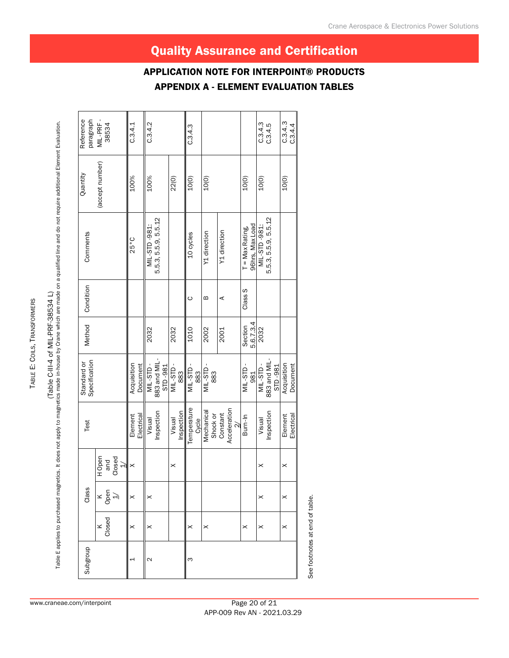# (Table C-III-4 of MIL-PRF-38534 L)

(Table E applies to purchased magnetics. It does not apply to magnetics made in-house by Crane which are made on a qualified line and do not require additional Element Evaluation.<br>Table E applies to purchased magnetics. It Table E applies to purchased magnetics. It does not apply to magnetics made in-house by Crane which are made on a qualified line and do not require additional Element Evaluation.

| Reference<br>paragraph       | MIL-PRF-<br>38534                  | C.3.4.1                 | C.3.4.2                              |         |                      | C.3.4.3               |       |                        |                          |                                     | C.3.4.3<br>C.3.4.5                   | C.3.4.3<br>C.3.4.4      |
|------------------------------|------------------------------------|-------------------------|--------------------------------------|---------|----------------------|-----------------------|-------|------------------------|--------------------------|-------------------------------------|--------------------------------------|-------------------------|
| Quantity                     | (accept number)                    | 100%                    | 100%                                 |         | 22(0)                | 10(0)                 |       | 10(0)                  |                          | 10(0)                               | 10(0)                                | 10(0)                   |
| Comments                     |                                    | 25°C                    | 5.5.3, 5.5.9, 5.5.12<br>MIL-STD-981: |         |                      | 10 cycles             |       | Y1 direction           | Y1 direction             | 96hrs, Max Load<br>$T = Max Rating$ | 5.5.3, 5.5.9, 5.5.12<br>MIL-STD-981: |                         |
| Condition                    |                                    |                         |                                      |         |                      | ပ                     |       | ≃                      | ⋖                        | Class S                             |                                      |                         |
| Method                       |                                    |                         | 2032                                 |         | 2032                 | 1010                  |       | 2002                   | 2001                     | 5.6.7.3.4<br>Section                | 2032                                 |                         |
| Specification<br>Standard or |                                    | Acquisition<br>Document | 883 and MIL-<br>MIL-STD-             | STD-981 | $ML-STD$ .<br>883    | MIL-STD-<br>883       |       | MIL-STD<br>883         |                          | MIL-STD-<br>981                     | 883 and MIL-<br>STD-981<br>MIL-STD   | Acquisition<br>Document |
| Test                         |                                    | Electrical<br>Element   | Inspection<br>Visual                 |         | Inspection<br>Visual | Temperature           | Cycle | Mechanical<br>Shock or | Acceleration<br>Constant | Burn-In                             | Inspection<br>Visual                 | Electrical<br>Element   |
|                              | H Open<br>Closed<br>and<br>ने      | $\times$                |                                      |         | $\times$             |                       |       |                        |                          |                                     | ×                                    | $\times$                |
| Class                        | $\times \frac{6}{9}$ $\Rightarrow$ | $\times$                | $\boldsymbol{\times}$                |         |                      |                       |       |                        |                          |                                     | $\boldsymbol{\times}$                | $\boldsymbol{\times}$   |
|                              | Closed                             | $\times$                | $\times$                             |         |                      | $\boldsymbol{\times}$ |       | $\times$               |                          | $\boldsymbol{\times}$               | $\boldsymbol{\times}$                | $\boldsymbol{\times}$   |
| Subgroup                     |                                    | 4                       | 2                                    |         |                      | ო                     |       |                        |                          |                                     |                                      |                         |

See footnotes at end of table. See footnotes at end of table.

Page 20 of 21 APP-009 Rev AN - 2021.03.29

# Quality Assurance and Certification

APPENDIX A - ELEMENT EVALUATION TABLES Application Note for Interpoint® Products